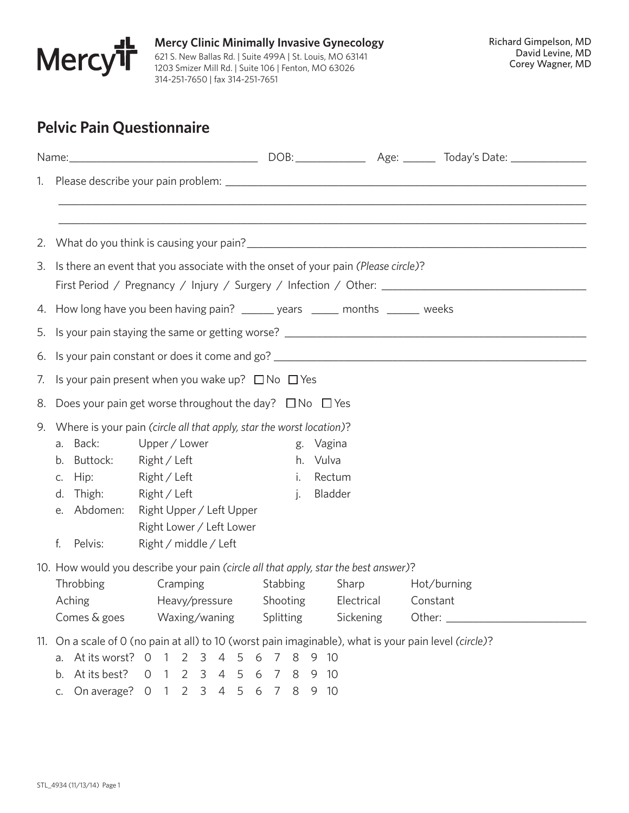

**Mercy Clinic Minimally Invasive Gynecology** 621 S. New Ballas Rd. | Suite 499A | St. Louis, MO 63141 1203 Smizer Mill Rd. | Suite 106 | Fenton, MO 63026 314-251-7650 | fax 314-251-7651

## **Pelvic Pain Questionnaire**

| 1. |                                                                                                                                                                                              |                                                                                                       |                                |                                             |             |  |  |  |  |  |  |  |  |
|----|----------------------------------------------------------------------------------------------------------------------------------------------------------------------------------------------|-------------------------------------------------------------------------------------------------------|--------------------------------|---------------------------------------------|-------------|--|--|--|--|--|--|--|--|
|    | 2. What do you think is causing your pain?<br>2. What do you think is causing your pain?                                                                                                     |                                                                                                       |                                |                                             |             |  |  |  |  |  |  |  |  |
|    | 3. Is there an event that you associate with the onset of your pain (Please circle)?<br>First Period / Pregnancy / Injury / Surgery / Infection / Other: ___________________________________ |                                                                                                       |                                |                                             |             |  |  |  |  |  |  |  |  |
|    | 4. How long have you been having pain? ______ years _____ months ______ weeks                                                                                                                |                                                                                                       |                                |                                             |             |  |  |  |  |  |  |  |  |
|    |                                                                                                                                                                                              |                                                                                                       |                                |                                             |             |  |  |  |  |  |  |  |  |
|    |                                                                                                                                                                                              |                                                                                                       |                                |                                             |             |  |  |  |  |  |  |  |  |
|    |                                                                                                                                                                                              | 7. Is your pain present when you wake up? $\square$ No $\square$ Yes                                  |                                |                                             |             |  |  |  |  |  |  |  |  |
|    |                                                                                                                                                                                              | 8. Does your pain get worse throughout the day? $\square$ No $\square$ Yes                            |                                |                                             |             |  |  |  |  |  |  |  |  |
| 9. |                                                                                                                                                                                              | Where is your pain (circle all that apply, star the worst location)?                                  |                                |                                             |             |  |  |  |  |  |  |  |  |
|    | a. Back:                                                                                                                                                                                     | Upper / Lower                                                                                         |                                | g. Vagina                                   |             |  |  |  |  |  |  |  |  |
|    | b. Buttock:                                                                                                                                                                                  | Right / Left                                                                                          |                                | h. Vulva                                    |             |  |  |  |  |  |  |  |  |
|    | c. Hip:                                                                                                                                                                                      | Right / Left                                                                                          |                                | i. Rectum                                   |             |  |  |  |  |  |  |  |  |
|    | d. Thigh:                                                                                                                                                                                    | Right / Left                                                                                          |                                | j. Bladder                                  |             |  |  |  |  |  |  |  |  |
|    | e. Abdomen:                                                                                                                                                                                  | Right Upper / Left Upper                                                                              |                                |                                             |             |  |  |  |  |  |  |  |  |
|    |                                                                                                                                                                                              | Right Lower / Left Lower                                                                              |                                |                                             |             |  |  |  |  |  |  |  |  |
|    | f.<br>Pelvis:                                                                                                                                                                                | Right / middle / Left                                                                                 |                                |                                             |             |  |  |  |  |  |  |  |  |
|    | 10. How would you describe your pain (circle all that apply, star the best answer)?                                                                                                          |                                                                                                       |                                |                                             |             |  |  |  |  |  |  |  |  |
|    | Throbbing                                                                                                                                                                                    | Cramping                                                                                              | Stabbing                       | Sharp                                       | Hot/burning |  |  |  |  |  |  |  |  |
|    | Aching                                                                                                                                                                                       |                                                                                                       |                                | Heavy/pressure Shooting Electrical Constant |             |  |  |  |  |  |  |  |  |
|    | Comes & goes                                                                                                                                                                                 | Waxing/waning                                                                                         | Splitting                      | Sickening                                   |             |  |  |  |  |  |  |  |  |
|    |                                                                                                                                                                                              | 11. On a scale of 0 (no pain at all) to 10 (worst pain imaginable), what is your pain level (circle)? |                                |                                             |             |  |  |  |  |  |  |  |  |
|    | a. At its worst? 0                                                                                                                                                                           | $\overline{4}$<br>2<br>3<br>-1                                                                        | 6<br>$\overline{7}$<br>8<br>-5 | 9 10                                        |             |  |  |  |  |  |  |  |  |
|    | At its best?<br>b.                                                                                                                                                                           | 2<br>$\overline{4}$<br>0<br>$\overline{1}$<br>$\overline{3}$                                          | 5<br>8<br>6<br>7               | - 10<br>9                                   |             |  |  |  |  |  |  |  |  |
|    | On average? 0<br>C.                                                                                                                                                                          | 2 3 4 5<br>- 1                                                                                        | 8<br>6 7                       | 9 10                                        |             |  |  |  |  |  |  |  |  |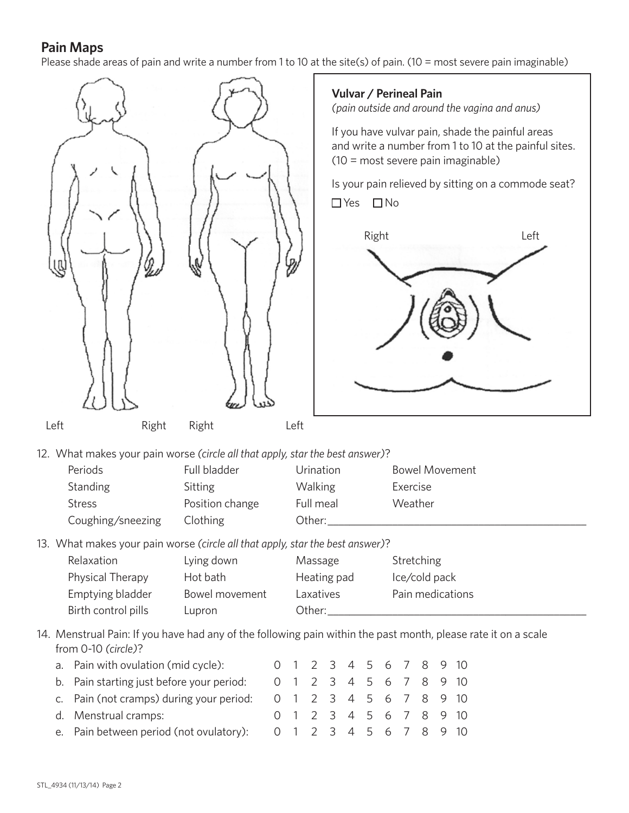## **Pain Maps**

Please shade areas of pain and write a number from 1 to 10 at the site(s) of pain. (10 = most severe pain imaginable)



**Vulvar / Perineal Pain**

*(pain outside and around the vagina and anus)*

If you have vulvar pain, shade the painful areas and write a number from 1 to 10 at the painful sites. (10 = most severe pain imaginable)

Is your pain relieved by sitting on a commode seat?  $\Box$  Yes  $\Box$  No



12. What makes your pain worse *(circle all that apply, star the best answer)*?

| Full bladder    | Urination      | <b>Bowel Movement</b> |
|-----------------|----------------|-----------------------|
| Sitting         | <b>Walking</b> | Exercise              |
| Position change | Full meal      | Weather               |
| Clothing        | Other:         |                       |
|                 |                |                       |

13. What makes your pain worse *(circle all that apply, star the best answer)*?

| Relaxation          | Lying down     | Massage     | Stretching       |
|---------------------|----------------|-------------|------------------|
| Physical Therapy    | Hot bath       | Heating pad | Ice/cold pack    |
| Emptying bladder    | Bowel movement | Laxatives   | Pain medications |
| Birth control pills | Lupron         | Other:      |                  |

14. Menstrual Pain: If you have had any of the following pain within the past month, please rate it on a scale from 0-10 *(circle)*?

| a. Pain with ovulation (mid cycle):                                                   |                        | 0 1 2 3 4 5 6 7 8 9 10 |  |  |  |  |
|---------------------------------------------------------------------------------------|------------------------|------------------------|--|--|--|--|
| b. Pain starting just before your period:                                             | 0 1 2 3 4 5 6 7 8 9 10 |                        |  |  |  |  |
| c. Pain (not cramps) during your period: $0 \t1 \t2 \t3 \t4 \t5 \t6 \t7 \t8 \t9 \t10$ |                        |                        |  |  |  |  |
| d. Menstrual cramps:                                                                  |                        | 0 1 2 3 4 5 6 7 8 9 10 |  |  |  |  |
| e. Pain between period (not ovulatory):                                               | 0 1 2 3 4 5 6 7 8 9 10 |                        |  |  |  |  |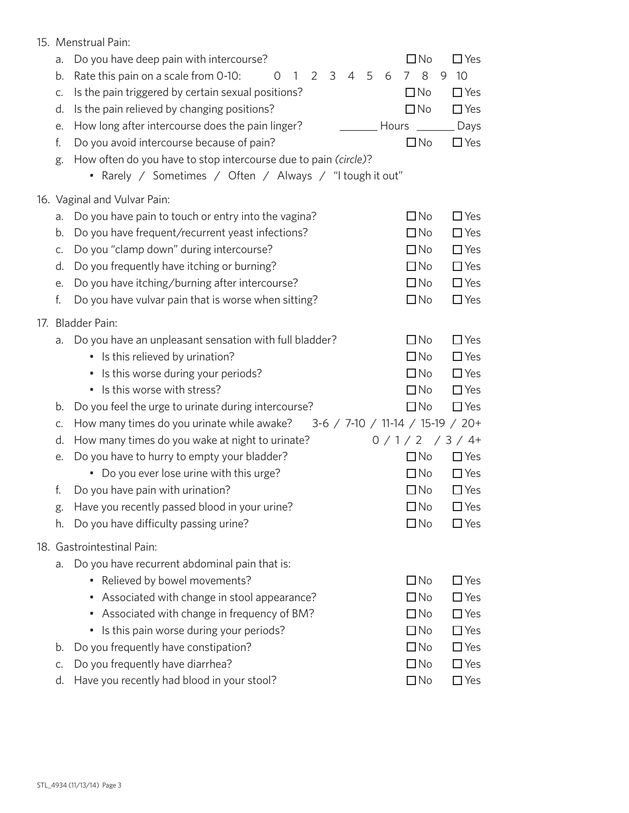| 15. Menstrual Pain: |                                                                                                                            |                                  |                       |  |  |  |
|---------------------|----------------------------------------------------------------------------------------------------------------------------|----------------------------------|-----------------------|--|--|--|
| a.<br>b.            | Do you have deep pain with intercourse?<br>3<br>4 5<br>Rate this pain on a scale from 0-10:<br>$\mathbf{1}$<br>2<br>6<br>0 | $\square$ No<br>8<br>$7^{\circ}$ | $\Box$ Yes<br>10<br>9 |  |  |  |
| C.                  | Is the pain triggered by certain sexual positions?                                                                         | $\Box$ No                        | $\Box$ Yes            |  |  |  |
| d.<br>е.            | Is the pain relieved by changing positions?<br>How long after intercourse does the pain linger?                            | $\Box$ No<br>Hours               | $\Box$ Yes<br>Days    |  |  |  |
| f.                  | Do you avoid intercourse because of pain?                                                                                  | $\square$ No                     | $\Box$ Yes            |  |  |  |
| g.                  | How often do you have to stop intercourse due to pain (circle)?                                                            |                                  |                       |  |  |  |
|                     | • Rarely / Sometimes / Often / Always / "I tough it out"                                                                   |                                  |                       |  |  |  |
|                     | 16. Vaginal and Vulvar Pain:                                                                                               |                                  |                       |  |  |  |
| a.                  | Do you have pain to touch or entry into the vagina?                                                                        | $\Box$ No                        | $\Box$ Yes            |  |  |  |
| b.                  | Do you have frequent/recurrent yeast infections?                                                                           | $\Box$ No                        | $\Box$ Yes            |  |  |  |
| C.                  | Do you "clamp down" during intercourse?                                                                                    | $\Box$ No                        | $\Box$ Yes            |  |  |  |
| d.                  | Do you frequently have itching or burning?                                                                                 | $\Box$ No                        | $\Box$ Yes            |  |  |  |
| е.                  | Do you have itching/burning after intercourse?                                                                             | $\Box$ No                        | $\Box$ Yes            |  |  |  |
| f.                  | Do you have vulvar pain that is worse when sitting?                                                                        | $\Box$ No                        | $\Box$ Yes            |  |  |  |
|                     | 17. Bladder Pain:                                                                                                          |                                  |                       |  |  |  |
| a.                  | Do you have an unpleasant sensation with full bladder?                                                                     | $\Box$ No                        | $\Box$ Yes            |  |  |  |
|                     | • Is this relieved by urination?                                                                                           | $\Box$ No                        | $\Box$ Yes            |  |  |  |
|                     | • Is this worse during your periods?                                                                                       | $\Box$ No                        | $\Box$ Yes            |  |  |  |
|                     | Is this worse with stress?<br>۰                                                                                            | $\Box$ No                        | $\Box$ Yes            |  |  |  |
| b.                  | Do you feel the urge to urinate during intercourse?                                                                        | $\Box$ No                        | $\Box$ Yes            |  |  |  |
| C.                  | How many times do you urinate while awake? 3-6 / 7-10 / 11-14 / 15-19 / 20+                                                |                                  |                       |  |  |  |
| d.                  | How many times do you wake at night to urinate?                                                                            | $0/1/2$ / 3/4+                   |                       |  |  |  |
| е.                  | Do you have to hurry to empty your bladder?                                                                                | $\Box$ No                        | $\Box$ Yes            |  |  |  |
|                     | • Do you ever lose urine with this urge?                                                                                   | $\Box$ No                        | $\Box$ Yes            |  |  |  |
| t.                  | Do you have pain with urination?                                                                                           | $\square$ No                     | $\Box$ Yes            |  |  |  |
| g.                  | Have you recently passed blood in your urine?                                                                              | $\Box$ No                        | $\Box$ Yes            |  |  |  |
| h.                  | Do you have difficulty passing urine?                                                                                      | $\square$ No                     | $\Box$ Yes            |  |  |  |
|                     | 18. Gastrointestinal Pain:                                                                                                 |                                  |                       |  |  |  |
| a.                  | Do you have recurrent abdominal pain that is:                                                                              |                                  |                       |  |  |  |
|                     | • Relieved by bowel movements?                                                                                             | $\Box$ No                        | $\Box$ Yes            |  |  |  |
|                     | • Associated with change in stool appearance?                                                                              | $\Box$ No                        | $\Box$ Yes            |  |  |  |
|                     | • Associated with change in frequency of BM?                                                                               | $\Box$ No                        | $\Box$ Yes            |  |  |  |
|                     | • Is this pain worse during your periods?                                                                                  | $\square$ No                     | $\Box$ Yes            |  |  |  |
| b.                  | Do you frequently have constipation?                                                                                       | $\Box$ No                        | $\Box$ Yes            |  |  |  |
| C.                  | Do you frequently have diarrhea?                                                                                           | $\Box$ No                        | $\Box$ Yes            |  |  |  |
| d.                  | Have you recently had blood in your stool?                                                                                 | $\Box$ No                        | $\Box$ Yes            |  |  |  |